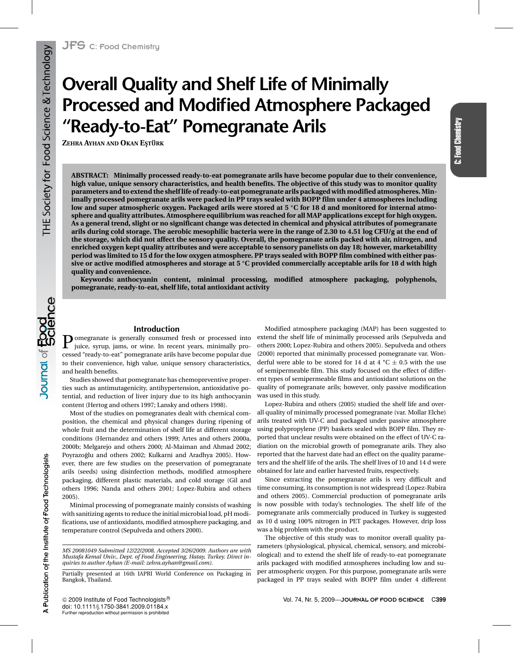# **Overall Quality and Shelf Life of Minimally Processed and Modified Atmosphere Packaged "Ready-to-Eat" Pomegranate Arils**

**ZEHRA AYHAN AND OKAN E¸STURK ¨**

**ABSTRACT: Minimally processed ready-to-eat pomegranate arils have become popular due to their convenience, high value, unique sensory characteristics, and health benefits. The objective of this study was to monitor quality parameters and to extend the shelf life of ready-to-eat pomegranate arils packaged with modified atmospheres. Minimally processed pomegranate arils were packed in PP trays sealed with BOPP film under 4 atmospheres including low and super atmospheric oxygen. Packaged arils were stored at 5 ◦C for 18 d and monitored for internal atmosphere and quality attributes. Atmosphere equilibrium was reached for all MAP applications except for high oxygen. As a general trend, slight or no significant change was detected in chemical and physical attributes of pomegranate arils during cold storage. The aerobic mesophilic bacteria were in the range of 2.30 to 4.51 log CFU/g at the end of the storage, which did not affect the sensory quality. Overall, the pomegranate arils packed with air, nitrogen, and enriched oxygen kept quality attributes and were acceptable to sensory panelists on day 18; however, marketability period was limited to 15 d for the low oxygen atmosphere. PP trays sealed with BOPP film combined with either passive or active modified atmospheres and storage at 5 ◦C provided commercially acceptable arils for 18 d with high quality and convenience.**

**Keywords: anthocyanin content, minimal processing, modified atmosphere packaging, polyphenols, pomegranate, ready-to-eat, shelf life, total antioxidant activity**

# **Introduction**

Pomegranate is generally consumed fresh or processed into juice, syrup, jams, or wine. In recent years, minimally processed "ready-to-eat" pomegranate arils have become popular due to their convenience, high value, unique sensory characteristics, and health benefits.

Studies showed that pomegranate has chemopreventive properties such as antimutagenicity, antihypertension, antioxidative potential, and reduction of liver injury due to its high anthocyanin content (Hertog and others 1997; Lansky and others 1998).

Most of the studies on pomegranates dealt with chemical composition, the chemical and physical changes during ripening of whole fruit and the determination of shelf life at different storage conditions (Hernandez and others 1999; Artes and others 2000a, 2000b; Melgarejo and others 2000; Al-Maiman and Ahmad 2002; Poyrazoğlu and others 2002; Kulkarni and Aradhya 2005). However, there are few studies on the preservation of pomegranate arils (seeds) using disinfection methods, modified atmosphere packaging, different plastic materials, and cold storage (Gil and others 1996; Nanda and others 2001; Lopez-Rubira and others 2005).

Minimal processing of pomegranate mainly consists of washing with sanitizing agents to reduce the initial microbial load, pH modifications, use of antioxidants, modified atmosphere packaging, and temperature control (Sepulveda and others 2000).

*MS 20081049 Submitted 12/22/2008, Accepted 3/26/2009. Authors are with Mustafa Kemal Univ., Dept. of Food Engineering, Hatay, Turkey. Direct inquiries to author Ayhan (E-mail: zehra.ayhan@gmail.com).*

Modified atmosphere packaging (MAP) has been suggested to extend the shelf life of minimally processed arils (Sepulveda and others 2000; Lopez-Rubira and others 2005). Sepulveda and others (2000) reported that minimally processed pomegranate var. Wonderful were able to be stored for 14 d at  $4 °C \pm 0.5$  with the use of semipermeable film. This study focused on the effect of different types of semipermeable films and antioxidant solutions on the quality of pomegranate arils; however, only passive modification was used in this study.

C: Food Chemistry

C: Food Chemistry

Lopez-Rubira and others (2005) studied the shelf life and overall quality of minimally processed pomegranate (var. Mollar Elche) arils treated with UV-C and packaged under passive atmosphere using polypropylene (PP) baskets sealed with BOPP film. They reported that unclear results were obtained on the effect of UV-C radiation on the microbial growth of pomegranate arils. They also reported that the harvest date had an effect on the quality parameters and the shelf life of the arils. The shelf lives of 10 and 14 d were obtained for late and earlier harvested fruits, respectively.

Since extracting the pomegranate arils is very difficult and time consuming, its consumption is not widespread (Lopez-Rubira and others 2005). Commercial production of pomegranate arils is now possible with today's technologies. The shelf life of the pomegranate arils commercially produced in Turkey is suggested as 10 d using 100% nitrogen in PET packages. However, drip loss was a big problem with the product.

The objective of this study was to monitor overall quality parameters (physiological, physical, chemical, sensory, and microbiological) and to extend the shelf life of ready-to-eat pomegranate arils packaged with modified atmospheres including low and super atmospheric oxygen. For this purpose, pomegranate arils were packaged in PP trays sealed with BOPP film under 4 different

Partially presented at 16th IAPRI World Conference on Packaging in Bangkok, Thailand.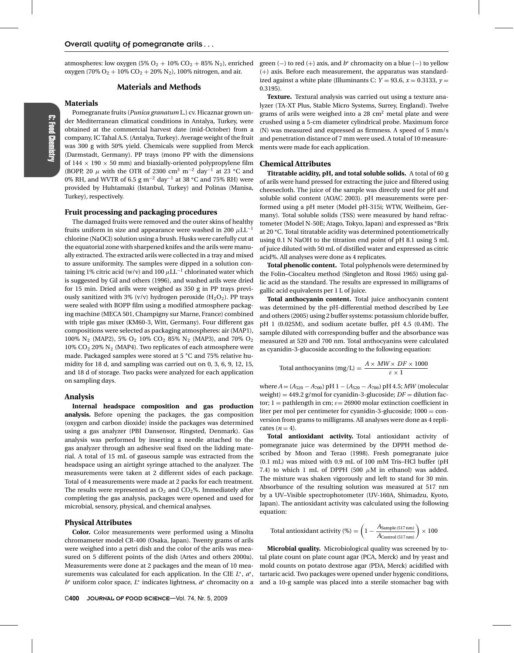atmospheres: low oxygen  $(5\% O_2 + 10\% CO_2 + 85\% N_2)$ , enriched oxygen (70%  $O_2 + 10\%$  CO<sub>2</sub> + 20% N<sub>2</sub>), 100% nitrogen, and air.

## **Materials and Methods**

#### **Materials**

Pomegranate fruits (*Punica granatum* L.) cv. Hicaznar grown under Mediterranean climatical conditions in Antalya, Turkey, were obtained at the commercial harvest date (mid-October) from a company, IC Tahal A.S. (Antalya, Turkey). Average weight of the fruit was 300 g with 50% yield. Chemicals were supplied from Merck (Darmstadt, Germany). PP trays (mono PP with the dimensions of  $144 \times 190 \times 50$  mm) and biaxially-oriented polypropylene film (BOPP, 20  $\mu$  with the OTR of 2300 cm<sup>3</sup> m<sup>-2</sup> day<sup>-1</sup> at 23 °C and 0% RH, and WVTR of 6.5 g m−<sup>2</sup> day−<sup>1</sup> at 38 **◦**C and 75% RH) were provided by Huhtamaki (Istanbul, Turkey) and Polinas (Manisa, Turkey), respectively.

#### **Fruit processing and packaging procedures**

The damaged fruits were removed and the outer skins of healthy fruits uniform in size and appearance were washed in 200  $\mu$ LL<sup>-1</sup> chlorine (NaOCl) solution using a brush. Husks were carefully cut at the equatorial zone with sharpened knifes and the arils were manually extracted. The extracted arils were collected in a tray and mixed to assure uniformity. The samples were dipped in a solution containing 1% citric acid (w/v) and 100  $\mu$ LL<sup>-1</sup> chlorinated water which is suggested by Gil and others (1996), and washed arils were dried for 15 min. Dried arils were weighed as 350 g in PP trays previously sanitized with 3% (v/v) hydrogen peroxide  $(H_2O_2)$ . PP trays were sealed with BOPP film using a modified atmosphere packaging machine (MECA 501, Champigny sur Marne, France) combined with triple gas mixer (KM60-3, Witt, Germany). Four different gas compositions were selected as packaging atmospheres: air (MAP1), 100% N<sub>2</sub> (MAP2), 5% O<sub>2</sub> 10% CO<sub>2</sub> 85% N<sub>2</sub> (MAP3), and 70% O<sub>2</sub>  $10\%$  CO<sub>2</sub> 20% N<sub>2</sub> (MAP4). Two replicates of each atmosphere were made. Packaged samples were stored at 5 **◦**C and 75% relative humidity for 18 d, and sampling was carried out on 0, 3, 6, 9, 12, 15, and 18 d of storage. Two packs were analyzed for each application on sampling days.

#### **Analysis**

**Internal headspace composition and gas production analysis.** Before opening the packages, the gas composition (oxygen and carbon dioxide) inside the packages was determined using a gas analyzer (PBI Dansensor, Ringsted, Denmark). Gas analysis was performed by inserting a needle attached to the gas analyzer through an adhesive seal fixed on the lidding material. A total of 15 mL of gaseous sample was extracted from the headspace using an airtight syringe attached to the analyzer. The measurements were taken at 2 different sides of each package. Total of 4 measurements were made at 2 packs for each treatment. The results were represented as  $O_2$  and  $CO_2$ %. Immediately after completing the gas analysis, packages were opened and used for microbial, sensory, physical, and chemical analyses.

#### **Physical Attributes**

**Color.** Color measurements were performed using a Minolta chromameter model CR-400 (Osaka, Japan). Twenty grams of arils were weighed into a petri dish and the color of the arils was measured on 5 different points of the dish (Artes and others 2000a). Measurements were done at 2 packages and the mean of 10 measurements was calculated for each application. In the CIE *L*∗, *a*∗, *b*<sup>∗</sup> uniform color space, *L*<sup>∗</sup> indicates lightness, *a*<sup>∗</sup> chromacity on a

green (−) to red (+) axis, and  $b^*$  chromacity on a blue (−) to yellow (+) axis. Before each measurement, the apparatus was standardized against a white plate (Illuminants C:  $Y = 93.6$ ,  $x = 0.3133$ ,  $y =$ 0.3195).

**Texture.** Textural analysis was carried out using a texture analyzer (TA-XT Plus, Stable Micro Systems, Surrey, England). Twelve grams of arils were weighed into a  $28 \text{ cm}^2$  metal plate and were crushed using a 5-cm diameter cylindrical probe. Maximum force (N) was measured and expressed as firmness. A speed of 5 mm/s and penetration distance of 7 mm were used. A total of 10 measurements were made for each application.

#### **Chemical Attributes**

**Titratable acidity, pH, and total soluble solids.** A total of 60 g of arils were hand pressed for extracting the juice and filtered using cheesecloth. The juice of the sample was directly used for pH and soluble solid content (AOAC 2003). pH measurements were performed using a pH meter (Model pH-315i; WTW, Weilheim, Germany). Total soluble solids (TSS) were measured by hand refractometer (Model N-50E; Atago, Tokyo, Japan) and expressed as **◦**Brix at 20 **◦**C. Total titratable acidity was determined potentiometrically using 0.1 N NaOH to the titration end point of pH 8.1 using 5 mL of juice diluted with 50 mL of distilled water and expressed as citric acid%. All analyses were done as 4 replicates.

**Total phenolic content.** Total polyphenols were determined by the Folin–Ciocalteu method (Singleton and Rossi 1965) using gallic acid as the standard. The results are expressed in milligrams of gallic acid equivalents per 1 L of juice.

**Total anthocyanin content.** Total juice anthocyanin content was determined by the pH-differential method described by Lee and others (2005) using 2 buffer systems: potassium chloride buffer, pH 1 (0.025M), and sodium acetate buffer, pH 4.5 (0.4M). The sample diluted with corresponding buffer and the absorbance was measured at 520 and 700 nm. Total anthocyanins were calculated as cyanidin-3-glucoside according to the following equation:

Total anthocyanins (mg/L) = 
$$
\frac{A \times MW \times DF \times 1000}{\varepsilon \times 1}
$$

where *A* = (*A*<sup>520</sup> − *A*700) pH 1 − (*A*<sup>520</sup> − *A*700) pH 4.5; *MW* (molecular weight) =  $449.2$  g/mol for cyanidin-3-glucoside;  $DF =$  dilution factor; 1 = pathlength in cm;  $\varepsilon$  = 26900 molar extinction coefficient in liter per mol per centimeter for cyanidin-3-glucoside; 1000 = conversion from grams to milligrams. All analyses were done as 4 replicates  $(n=4)$ .

**Total antioxidant activity.** Total antioxidant activity of pomegranate juice was determined by the DPPH method described by Moon and Terao (1998). Fresh pomegranate juice (0.1 mL) was mixed with 0.9 mL of 100 mM Tris–HCl buffer (pH 7.4) to which 1 mL of DPPH (500  $\mu$ M in ethanol) was added. The mixture was shaken vigorously and left to stand for 30 min. Absorbance of the resulting solution was measured at 517 nm by a UV–Visible spectrophotometer (UV-160A, Shimadzu, Kyoto, Japan). The antioxidant activity was calculated using the following equation:

Total antisvidant activity (
$$
\%
$$
) =  $\left(1 - \frac{A_{Sample (517 nm)}}{A_{Control (517 nm)}}\right) \times 100$ 

**Microbial quality.** Microbiological quality was screened by total plate count on plate count agar (PCA, Merck) and by yeast and mold counts on potato dextrose agar (PDA, Merck) acidified with tartaric acid. Two packages were opened under hygenic conditions, and a 10-g sample was placed into a sterile stomacher bag with

C: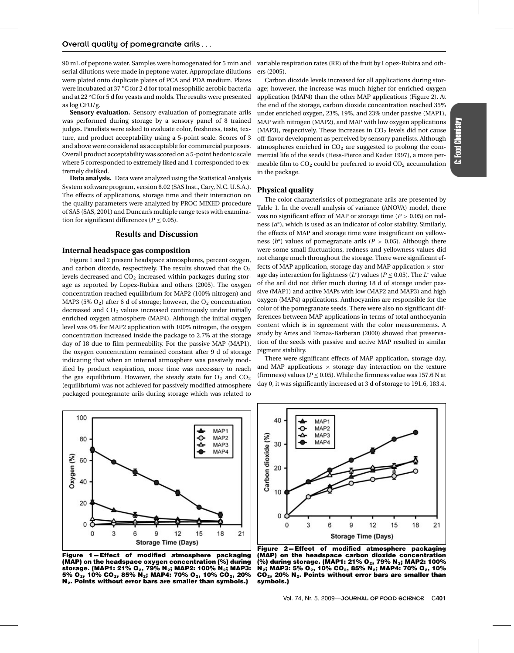90 mL of peptone water. Samples were homogenated for 5 min and variable respiration rates (RR) of the fruit by Lopez-Rubira and othserial dilutions were made in peptone water. Appropriate dilutions were plated onto duplicate plates of PCA and PDA medium. Plates were incubated at 37 **◦**C for 2 d for total mesophilic aerobic bacteria and at 22 **◦**C for 5 d for yeasts and molds. The results were presented as log CFU/g.

**Sensory evaluation.** Sensory evaluation of pomegranate arils was performed during storage by a sensory panel of 8 trained judges. Panelists were asked to evaluate color, freshness, taste, texture, and product acceptability using a 5-point scale. Scores of 3 and above were considered as acceptable for commercial purposes. Overall product acceptability was scored on a 5-point hedonic scale where 5 corresponded to extremely liked and 1 corresponded to extremely disliked.

**Data analysis.** Data were analyzed using the Statistical Analysis System software program, version 8.02 (SAS Inst., Cary, N.C. U.S.A.). The effects of applications, storage time and their interaction on the quality parameters were analyzed by PROC MIXED procedure of SAS (SAS, 2001) and Duncan's multiple range tests with examination for significant differences ( $P \leq 0.05$ ).

### **Results and Discussion**

#### **Internal headspace gas composition**

Figure 1 and 2 present headspace atmospheres, percent oxygen, and carbon dioxide, respectively. The results showed that the  $O<sub>2</sub>$ levels decreased and  $CO<sub>2</sub>$  increased within packages during storage as reported by Lopez-Rubira and others (2005). The oxygen concentration reached equilibrium for MAP2 (100% nitrogen) and MAP3 (5%  $O_2$ ) after 6 d of storage; however, the  $O_2$  concentration decreased and  $CO<sub>2</sub>$  values increased continuously under initially enriched oxygen atmosphere (MAP4). Although the initial oxygen level was 0% for MAP2 application with 100% nitrogen, the oxygen concentration increased inside the package to 2.7% at the storage day of 18 due to film permeability. For the passive MAP (MAP1), the oxygen concentration remained constant after 9 d of storage indicating that when an internal atmosphere was passively modified by product respiration, more time was necessary to reach the gas equilibrium. However, the steady state for  $O_2$  and  $CO_2$ (equilibrium) was not achieved for passively modified atmosphere packaged pomegranate arils during storage which was related to ers (2005).

Carbon dioxide levels increased for all applications during storage; however, the increase was much higher for enriched oxygen application (MAP4) than the other MAP applications (Figure 2). At the end of the storage, carbon dioxide concentration reached 35% under enriched oxygen, 23%, 19%, and 23% under passive (MAP1), MAP with nitrogen (MAP2), and MAP with low oxygen applications (MAP3), respectively. These increases in  $CO<sub>2</sub>$  levels did not cause off-flavor development as perceived by sensory panelists. Although atmospheres enriched in  $CO<sub>2</sub>$  are suggested to prolong the commercial life of the seeds (Hess-Pierce and Kader 1997), a more permeable film to  $CO<sub>2</sub>$  could be preferred to avoid  $CO<sub>2</sub>$  accumulation in the package.

#### **Physical quality**

The color characteristics of pomegranate arils are presented by Table 1. In the overall analysis of variance (ANOVA) model, there was no significant effect of MAP or storage time (*P* > 0.05) on redness (*a*∗), which is used as an indicator of color stability. Similarly, the effects of MAP and storage time were insignificant on yellowness ( $b^*$ ) values of pomegranate arils ( $P > 0.05$ ). Although there were some small fluctuations, redness and yellowness values did not change much throughout the storage. There were significant effects of MAP application, storage day and MAP application  $\times$  storage day interaction for lightness  $(L^*)$  values ( $P \leq 0.05$ ). The  $L^*$  value of the aril did not differ much during 18 d of storage under passive (MAP1) and active MAPs with low (MAP2 and MAP3) and high oxygen (MAP4) applications. Anthocyanins are responsible for the color of the pomegranate seeds. There were also no significant differences between MAP applications in terms of total anthocyanin content which is in agreement with the color measurements. A study by Artes and Tomas-Barberan (2000) showed that preservation of the seeds with passive and active MAP resulted in similar pigment stability.

There were significant effects of MAP application, storage day, and MAP applications  $\times$  storage day interaction on the texture (firmness) values ( $P \le 0.05$ ). While the firmness value was 157.6 N at day 0, it was significantly increased at 3 d of storage to 191.6, 183.4,



**Figure 1-Effect of modified atmosphere packaging (MAP) on the headspace oxygen concentration (%) during** storage. (MAP1: 21% O<sub>2</sub>, 79% N<sub>2</sub>; MAP2: 100% N<sub>2</sub>; MAP3: 5% O<sub>2</sub>, 10% CO<sub>2</sub>, 85% N<sub>2</sub>; MAP4: 70% O<sub>2</sub>, 10% CO<sub>2</sub>, 20% **N2. Points without error bars are smaller than symbols.)**



Figure 2-Effect of modified atmosphere packaging **(MAP) on the headspace carbon dioxide concentration** (%) during storage. (MAP1: 21% O<sub>2</sub>, 79% N<sub>2</sub>; MAP2: 100% **N<sub>2</sub>; MAP3: 5% O<sub>2</sub>, 10% CO<sub>2</sub>, 85% N<sub>2</sub>; MAP4: 70% O<sub>2</sub>, 10% CO2, 20% N2. Points without error bars are smaller than symbols.)**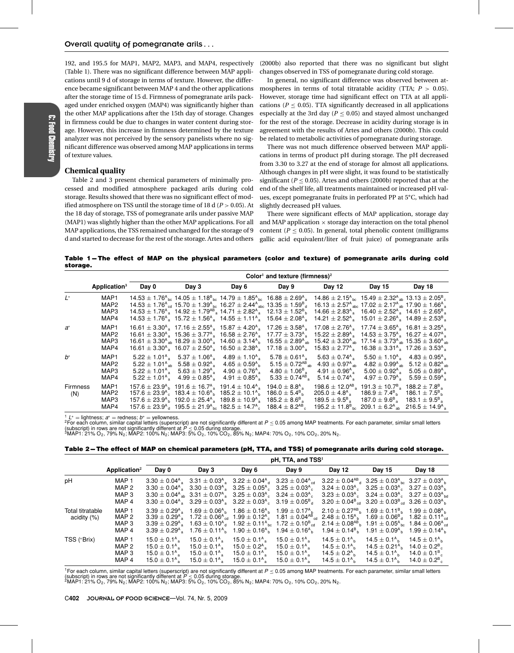192, and 195.5 for MAP1, MAP2, MAP3, and MAP4, respectively (Table 1). There was no significant difference between MAP applications until 9 d of storage in terms of texture. However, the difference became significant between MAP 4 and the other applications after the storage time of 15 d. Firmness of pomegranate arils packaged under enriched oxygen (MAP4) was significantly higher than the other MAP applications after the 15th day of storage. Changes in firmness could be due to changes in water content during storage. However, this increase in firmness determined by the texture analyzer was not perceived by the sensory panelists where no significant difference was observed among MAP applications in terms of texture values.

#### **Chemical quality**

Table 2 and 3 present chemical parameters of minimally processed and modified atmosphere packaged arils during cold storage. Results showed that there was no significant effect of modified atmosphere on TSS until the storage time of 18 d (*P* > 0.05). At the 18 day of storage, TSS of pomegranate arils under passive MAP (MAP1) was slightly higher than the other MAP applications. For all MAP applications, the TSS remained unchanged for the storage of 9 d and started to decrease for the rest of the storage. Artes and others

(2000b) also reported that there was no significant but slight changes observed in TSS of pomegranate during cold storage.

In general, no significant difference was observed between atmospheres in terms of total titratable acidity (TTA; *P* > 0.05). However, storage time had significant effect on TTA at all applications ( $P \leq 0.05$ ). TTA significantly decreased in all applications especially at the 3rd day  $(P < 0.05)$  and stayed almost unchanged for the rest of the storage. Decrease in acidity during storage is in agreement with the results of Artes and others (2000b). This could be related to metabolic activities of pomegranate during storage.

There was not much difference observed between MAP applications in terms of product pH during storage. The pH decreased from 3.30 to 3.27 at the end of storage for almost all applications. Although changes in pH were slight, it was found to be statistically significant ( $P < 0.05$ ). Artes and others (2000b) reported that at the end of the shelf life, all treatments maintained or increased pH values, except pomegranate fruits in perforated PP at 5**◦**C, which had slightly decreased pH values.

There were significant effects of MAP application, storage day and MAP application  $\times$  storage day interaction on the total phenol content ( $P \leq 0.05$ ). In general, total phenolic content (milligrams gallic acid equivalent/liter of fruit juice) of pomegranate arils

Table 1-The effect of MAP on the physical parameters (color and texture) of pomegranate arils during cold **storage.**

|                        |                                                      |                                                    | Color <sup>1</sup> and texture (firmness) <sup>2</sup>                                                                                                                                                                                                                                                                                                                                                       |                                                                                                                                                                                                                                                                                                                                                                                                                                                                                                                                                                                                                                               |                                                                                                                                                          |                                                                                                                                                                                                                                                                                                                                                                                                                                |                                                                                                                                                                                 |                                                                                                                                                                                                         |  |  |  |
|------------------------|------------------------------------------------------|----------------------------------------------------|--------------------------------------------------------------------------------------------------------------------------------------------------------------------------------------------------------------------------------------------------------------------------------------------------------------------------------------------------------------------------------------------------------------|-----------------------------------------------------------------------------------------------------------------------------------------------------------------------------------------------------------------------------------------------------------------------------------------------------------------------------------------------------------------------------------------------------------------------------------------------------------------------------------------------------------------------------------------------------------------------------------------------------------------------------------------------|----------------------------------------------------------------------------------------------------------------------------------------------------------|--------------------------------------------------------------------------------------------------------------------------------------------------------------------------------------------------------------------------------------------------------------------------------------------------------------------------------------------------------------------------------------------------------------------------------|---------------------------------------------------------------------------------------------------------------------------------------------------------------------------------|---------------------------------------------------------------------------------------------------------------------------------------------------------------------------------------------------------|--|--|--|
|                        | Application <sup>3</sup>                             | Day 0                                              | Day 3                                                                                                                                                                                                                                                                                                                                                                                                        | Day 6                                                                                                                                                                                                                                                                                                                                                                                                                                                                                                                                                                                                                                         | Day 9                                                                                                                                                    | Day 12                                                                                                                                                                                                                                                                                                                                                                                                                         | Day 15                                                                                                                                                                          | Day 18                                                                                                                                                                                                  |  |  |  |
| $L^*$                  | MAP <sub>1</sub><br>MAP <sub>2</sub><br>MAP3<br>MAP4 |                                                    |                                                                                                                                                                                                                                                                                                                                                                                                              | $14.53 \pm 1.76$ <sup>A</sup> <sub>bc</sub> $14.05 \pm 1.18$ <sup>B</sup> <sub>bc</sub> $14.79 \pm 1.85$ <sup>A</sup> <sub>bc</sub> $16.88 \pm 2.69$ <sup>A</sup> <sub>s</sub><br>$14.53 \pm 1.76$ <sup>A</sup> <sub>cd</sub> $15.70 \pm 1.39$ <sup>A</sup> <sub>bc</sub> $16.27 \pm 2.44$ <sup>A</sup> <sub>abc</sub> $13.35 \pm 1.59$ <sup>B</sup> <sub>d</sub><br>$14.53 \pm 1.76$ <sup>A</sup> <sub>a</sub> $14.92 \pm 1.79$ <sup>AB</sup> <sub>a</sub> $14.71 \pm 2.82$ <sup>A</sup> <sub>a</sub><br>$14.53 \pm 1.76$ <sup>A</sup> $\frac{1}{2}$ 15.72 $\pm$ 1.56 <sup>A</sup> $\frac{1}{2}$ 14.55 $\pm$ 1.11 <sup>A</sup> $\frac{1}{2}$ | $12.13 \pm 1.52^{\text{\tiny B}}$ h<br>15.64 $\pm$ 2.08 <sup>A</sup> <sub>a</sub>                                                                        | 14.86 ± 2.15 <sup>A</sup> <sub>bc</sub> 15.49 ± 2.32 <sup>A</sup> <sub>ab</sub> 13.13 ± 2.05 <sup>B</sup> <sub>c</sub><br>16.13 $\pm$ 2.57 <sup>A</sup> ahs 17.02 $\pm$ 2.17 <sup>A</sup> ah 17.90 $\pm$ 1.66 <sup>A</sup> a<br>$14.66 \pm 2.83^{\circ}$ 16.40 $\pm 2.52^{\circ}$ 14.61 $\pm 2.65^{\circ}$ a<br>$14.21 \pm 2.52^{\circ}$ 15.01 $\pm$ 2.26 <sup>A</sup> <sub>3</sub> 14.89 $\pm$ 2.53 <sup>B</sup> <sub>3</sub> |                                                                                                                                                                                 |                                                                                                                                                                                                         |  |  |  |
| a*                     | MAP1<br>MAP <sub>2</sub><br>MAP3<br>MAP4             |                                                    |                                                                                                                                                                                                                                                                                                                                                                                                              | $16.61 \pm 3.30^{\circ}$ $17.16 \pm 2.55^{\circ}$ $15.87 \pm 4.20^{\circ}$<br>$16.61 \pm 3.30^{\circ}$ , $15.36 \pm 3.77^{\circ}$ , $16.58 \pm 2.76^{\circ}$ ,<br>$16.61 \pm 3.30^{\circ}$ <sub>ab</sub> $18.29 \pm 3.00^{\circ}$ 14.60 $\pm 3.14^{\circ}$ <sub>b</sub><br>$16.61 \pm 3.30$ <sup>A</sup> $16.07 \pm 2.50$ <sup>A</sup> 16.50 $\pm 2.38$ <sup>A</sup> $\approx$                                                                                                                                                                                                                                                                | $17.26 \pm 3.58$ <sup>A</sup><br>$17.77 \pm 3.73$ <sup>A</sup> <sub>a</sub><br>16.55 $\pm$ 2.89 <sup>A</sup> <sub>sh</sub><br>$17.18 \pm 3.00^{\circ}$ . | $17.08 \pm 2.76$ <sup>A</sup><br>15.22 $\pm$ 2.89 <sup>A</sup> $\overline{a}$<br>$15.42 \pm 3.20^{\circ}$ and $17.14 \pm 3.73^{\circ}$ and $15.35 \pm 3.60^{\circ}$ and<br>$15.83 \pm 2.77^{\circ}$                                                                                                                                                                                                                            | $17.74 \pm 3.65^{\circ}$ 16.81 $\pm$ 3.25 <sup>A</sup><br>$14.53 \pm 3.75$ <sup>A</sup> 16.27 $\pm$ 4.07 <sup>A</sup><br>$16.38 \pm 3.31^{\circ}$ 17.26 $\pm$ 3.53 <sup>A</sup> |                                                                                                                                                                                                         |  |  |  |
| $h^*$                  | MAP1<br>MAP <sub>2</sub><br>MAP3<br>MAP4             | $5.22 \pm 1.01^{\circ}$<br>$5.22 \pm 1.01^{\circ}$ | $5.37\pm1.06^{\mathsf{A}}$ a<br>$5.22 \pm 1.01^{\circ}$ <sub>ab</sub> $5.58 \pm 0.92^{\circ}$ <sub>a</sub> $4.65 \pm 0.59^{\circ}$ <sub>b</sub><br>$5.22 \pm 1.01^{\circ}$ $5.63 \pm 1.29^{\circ}$ $4.90 \pm 0.76^{\circ}$<br>$4.99\pm0.85^{\mathsf{A}}$ a                                                                                                                                                   | $4.89 \pm 1.10^{\circ}$<br>4.91 $\pm$ 0.85 <sup>A</sup> <sub>a</sub>                                                                                                                                                                                                                                                                                                                                                                                                                                                                                                                                                                          | $5.78 \pm 0.61$ <sup>A</sup> <sub>a</sub><br>$5.15 \pm 0.72^{AB}$ <sub>ah</sub><br>$4.80 \pm 1.06^B$<br>$5.33 \pm 0.74^{AB}$                             | $5.63 \pm 0.74^{\circ}$<br>$4.93 \pm 0.97^{\text{A}}$ <sub>ah</sub><br>$4.91 \pm 0.96^{\text{A}}$<br>$5.14 \pm 0.74^{\circ}$                                                                                                                                                                                                                                                                                                   | $5.00\pm0.92$ <sup>A</sup><br>$4.97 \pm 0.79^{\text{A}}$                                                                                                                        | $5.50 \pm 1.10^{\circ}$ 4.83 $\pm$ 0.95 <sup>A</sup> <sub>3</sub><br>$4.82 \pm 0.99^{\text{A}}_{\text{ab}}$ 5.12 $\pm$ 0.82 <sup>A</sup> ah<br>$5.05 \pm 0.89^{\text{A}}$<br>$5.59 \pm 0.59^{\text{A}}$ |  |  |  |
| <b>Firmness</b><br>(N) | MAP <sub>1</sub><br>MAP <sub>2</sub><br>MAP3<br>MAP4 |                                                    | $157.6 \pm 23.9^{\circ}$ $191.6 \pm 16.7^{\circ}$ $191.4 \pm 10.4^{\circ}$ a<br>$157.6 \pm 23.9^{\circ}$ $183.4 \pm 10.6^{\circ}$ h<br>$157.6 \pm 23.9$ <sup>A</sup> <sub>h</sub> $192.0 \pm 25.4$ <sup>A</sup> <sub>a</sub> $189.8 \pm 10.9$ <sup>A</sup> <sub>a</sub><br>$157.6 \pm 23.9$ <sup>A</sup> <sub>d</sub> $195.5 \pm 21.9$ <sup>A</sup> <sub>bc</sub> $182.5 \pm 14.7$ <sup>A</sup> <sub>c</sub> | $185.2 \pm 10.1^{\circ}$                                                                                                                                                                                                                                                                                                                                                                                                                                                                                                                                                                                                                      | 194.0 $\pm$ 8.8 <sup>A</sup> <sub>a</sub><br>$186.0 \pm 5.4^{\circ}$<br>$185.2 \pm 8.6^B$<br>188.4 $\pm$ 8.2 <sup>AB</sup>                               | 198.6 $\pm$ 12.0 <sup>AB</sup><br>$205.0 \pm 4.8^{\circ}$<br>$189.5 \pm 9.5^{\rm B}$<br>$195.2 \pm 11.8^{\circ}$ kg.                                                                                                                                                                                                                                                                                                           | 191.3 $\pm$ 10.7 <sup>B</sup> <sub>a</sub><br>$186.9 \pm 7.4$ <sup>B</sup> h<br>$187.0 \pm 9.6^8$<br>$209.1\pm6.2^{\mathsf{A}}$ ah                                              | 188.2 $\pm 7.8^{\circ}$<br>186.1 $\pm$ 7.5 <sup>B</sup> <sub>h</sub><br>183.1 $\pm$ 9.5 <sup>B</sup> <sub>a</sub><br>$216.5 \pm 14.9^{\circ}$                                                           |  |  |  |

<sup>1</sup> L<sup>∗</sup> = lightness; a<sup>∗</sup> = redness; b\* = yellowness.<br><sup>2</sup>For each column, similar capital letters (superscript) are not significantly different at P ≤ 0.05 among MAP treatments. For each parameter, similar small letters (subscript) in rows are not significantly different at  $P \le 0.05$  during storage.<br>3MAP1: 21% O<sub>2</sub>, 79% N<sub>2</sub>; MAP2: 100% N<sub>2</sub>; MAP3: 5% O<sub>2</sub>, 10% CO<sub>2</sub>, 85% N<sub>2</sub>; MAP4: 70% O<sub>2</sub>, 10% CO<sub>2</sub>, 20% N<sub>2</sub>.

Table 2-The effect of MAP on chemical parameters (pH, TTA, and TSS) of pomegranate arils during cold storage.

|                                    |                                             |                                                                                                              |                                                                                                                                                                                                                                                                                                                                                                                                                                                                                     |                                                                                                                                                             | pH, TTA, and TSS <sup>1</sup>                                                                                                                                                                                                                                                                                                                                                          |                                                                                                                                                                                                                                                                                                      |                                                                                                                                                               |                                                                                                      |
|------------------------------------|---------------------------------------------|--------------------------------------------------------------------------------------------------------------|-------------------------------------------------------------------------------------------------------------------------------------------------------------------------------------------------------------------------------------------------------------------------------------------------------------------------------------------------------------------------------------------------------------------------------------------------------------------------------------|-------------------------------------------------------------------------------------------------------------------------------------------------------------|----------------------------------------------------------------------------------------------------------------------------------------------------------------------------------------------------------------------------------------------------------------------------------------------------------------------------------------------------------------------------------------|------------------------------------------------------------------------------------------------------------------------------------------------------------------------------------------------------------------------------------------------------------------------------------------------------|---------------------------------------------------------------------------------------------------------------------------------------------------------------|------------------------------------------------------------------------------------------------------|
|                                    | Application <sup>2</sup>                    | Day 0                                                                                                        | Day 3                                                                                                                                                                                                                                                                                                                                                                                                                                                                               | Day 6                                                                                                                                                       | Day 9                                                                                                                                                                                                                                                                                                                                                                                  | <b>Day 12</b>                                                                                                                                                                                                                                                                                        | Day 15                                                                                                                                                        | Day 18                                                                                               |
| pH                                 | MAP 1<br>MAP 2<br>MAP 3<br>MAP 4            |                                                                                                              | $3.30 \pm 0.04^{\circ}$ $3.31 \pm 0.03^{\circ}$ $3.22 \pm 0.04^{\circ}$ $3.23 \pm 0.04^{\circ}$ $3.30 \pm 0.04^{\circ}$<br>$3.30 \pm 0.04^{\circ}$ $3.30 \pm 0.03^{\circ}$ $3.25 \pm 0.05^{\circ}$ $3.25 \pm 0.03^{\circ}$<br>$3.30 \pm 0.04^{\circ}$ and $3.31 \pm 0.07^{\circ}$ and $3.25 \pm 0.03^{\circ}$ and $3.24 \pm 0.03^{\circ}$<br>$3.30 \pm 0.04$ <sup>A</sup> , $3.29 \pm 0.03$ <sup>A</sup> , $3.22 \pm 0.03$ <sup>A</sup> , $3.19 \pm 0.05$ <sup>B</sup> <sub>d</sub> |                                                                                                                                                             |                                                                                                                                                                                                                                                                                                                                                                                        | $3.22 \pm 0.04^{AB}$ $3.25 \pm 0.03^{A}$ $\rm{h}$ $3.27 \pm 0.03^{A}$ $\rm{h}$<br>$3.24 \pm 0.03^{A}$ $3.25 \pm 0.03^{A}$ $3.27 \pm 0.03^{A}$ h<br>$3.23 \pm 0.03^{\circ}$ $3.24 \pm 0.03^{\circ}$ $3.27 \pm 0.03^{\circ}$ $\rm{m}$<br>$3.20 \pm 0.04^8$ at $3.20 \pm 0.03^8$ at $3.26 \pm 0.03^8$ h |                                                                                                                                                               |                                                                                                      |
| Total titratable<br>acidity $(\%)$ | MAP <sub>1</sub><br>MAP 2<br>MAP 3<br>MAP 4 | $3.39 \pm 0.29^{\circ}$<br>$3.39\pm0.29$ <sup>A</sup> 。                                                      | $3.39 \pm 0.29^{\text{A}}$ $1.69 \pm 0.06^{\text{A}}$ $1.86 \pm 0.16^{\text{A}}$ $1.99 \pm 0.17^{\text{A}}$ $\text{b}$                                                                                                                                                                                                                                                                                                                                                              | $1.76 \pm 0.11^{\circ}$ , $1.90 \pm 0.16^{\circ}$ , $1.94 \pm 0.16^{\circ}$                                                                                 | $3.39 \pm 0.29$ <sup>A</sup> <sub>3</sub> 1.72 $\pm 0.06$ <sup>A</sup> <sub>cd</sub> 1.99 $\pm 0.12$ <sup>A</sup> <sub>c</sub> 1.81 $\pm 0.04$ <sup>AB</sup> <sub>cd</sub> 2.48 $\pm 0.15$ <sup>A</sup> <sub>b</sub> 1.69 $\pm 0.06$ <sup>B</sup> <sub>d</sub> 1.82 $\pm 0.11$ <sup>A</sup> <sub>cd</sub><br>$1.63 \pm 0.10^{A}_{d}$ $1.92 \pm 0.11^{A}_{bc}$ $1.72 \pm 0.10^{B}_{cd}$ | $2.10 \pm 0.27^{AB}$ , $1.69 \pm 0.11^{B}$ , $1.99 \pm 0.08^{A}$<br>$2.14 \pm 0.08^{\sf AB}$ , $1.91 \pm 0.05^{\sf A}$ bc $1.84 \pm 0.06^{\sf A}$ cd                                                                                                                                                 | $1.94 \pm 0.14^{\circ}$ , $1.91 \pm 0.09^{\circ}$ , $1.99 \pm 0.14^{\circ}$                                                                                   |                                                                                                      |
| TSS (°Brix)                        | MAP <sub>1</sub><br>MAP 2<br>MAP 3<br>MAP 4 | $15.0 \pm 0.1^{\circ}$ .<br>$15.0 \pm 0.1^{\circ}$ .<br>$15.0 \pm 0.1^{\circ}$ .<br>$15.0 \pm 0.1^{\circ}$ . | $15.0 \pm 0.1^{\circ}$<br>15.0 $\pm$ 0.1 <sup>A</sup> $\scriptstyle\rm s$<br>15.0 $\pm$ 0.1 <sup>A</sup> 。<br>$15.0 \pm 0.1^{\circ}$ .                                                                                                                                                                                                                                                                                                                                              | 15.0 $\pm$ 0.1 <sup>A</sup> $_{\circ}$<br>15.0 $\pm$ 0.2 <sup>A</sup> 。<br>15.0 $\pm$ 0.1 <sup>A</sup> $\overline{\phantom{a}}$<br>$15.0 \pm 0.1^{\circ}$ . | $15.0 \pm 0.1^{\circ}$ .<br>15.0 $\pm$ 0.1 <sup>A</sup> $_{\circ}$<br>15.0 $\pm$ 0.1 <sup>A</sup> s<br>$15.0 \pm 0.1^{\circ}$ .                                                                                                                                                                                                                                                        | $14.5 \pm 0.1^{\circ}$<br>$14.5 \pm 0.2$ <sup>A</sup> b<br>$14.5 \pm 0.1^{\circ}$                                                                                                                                                                                                                    | $14.5\pm0.1$ <sup>A</sup> h<br>$14.5 \pm 0.1^{\circ}$ $14.5 \pm 0.21^{\circ}$ $14.0 \pm 0.2^{\circ}$<br>$14.5\pm0.1$ <sup>A</sup> h<br>$14.5 \pm 0.1^{\circ}$ | 14.5 $\pm$ 0.1 <sup>A</sup> <sub>h</sub><br>$14.0\pm0.1$ <sup>B</sup><br>$14.0 \pm 0.2$ <sup>B</sup> |

<sup>1</sup>For each column, similar capital letters (superscript) are not significantly different at  $P \le 0.05$  among MAP treatments. For each parameter, similar small letters (subscript) in rows are not significantly different at  $P \le 0.05$  during storage.<br><sup>2</sup>MAP1: 21% O<sub>2</sub>, 79% N<sub>2</sub>; MAP2: 100% N<sub>2</sub>; MAP3: 5% O<sub>2</sub>, 10% CO<sub>2</sub>, 85% N<sub>2</sub>; MAP4: 70% O<sub>2</sub>, 10% CO<sub>2</sub>, 20% N<sub>2</sub>.

C**402** JOURNAL OF FOOD SCIENCE—Vol. 74, Nr. 5, 2009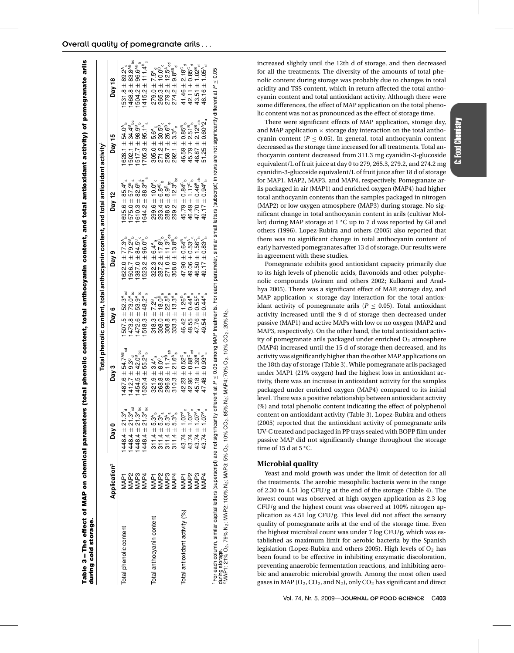| Table 3-The effect of MAP on chemical parameters (f<br>during cold storage.                                                                                                                                                                            |                              |                                                                                                                 |                                                                                       |                                                                                                                                                                                                                                         |                                                                                                      |                                                                                              | otal phenolic content, total anthocyanin content, and total antioxidant activity) of pomegranate arils                |                                                                                        |
|--------------------------------------------------------------------------------------------------------------------------------------------------------------------------------------------------------------------------------------------------------|------------------------------|-----------------------------------------------------------------------------------------------------------------|---------------------------------------------------------------------------------------|-----------------------------------------------------------------------------------------------------------------------------------------------------------------------------------------------------------------------------------------|------------------------------------------------------------------------------------------------------|----------------------------------------------------------------------------------------------|-----------------------------------------------------------------------------------------------------------------------|----------------------------------------------------------------------------------------|
|                                                                                                                                                                                                                                                        |                              |                                                                                                                 |                                                                                       |                                                                                                                                                                                                                                         |                                                                                                      | Total phenolic content, total anthocyanin content, and total antioxidant activity $^{\rm l}$ |                                                                                                                       |                                                                                        |
|                                                                                                                                                                                                                                                        | Application <sup>2</sup>     | Day 0                                                                                                           | Day 3                                                                                 | Day 6                                                                                                                                                                                                                                   | Day 9                                                                                                | Day 12                                                                                       | Day 15                                                                                                                | Day 18                                                                                 |
| Total phenolic content                                                                                                                                                                                                                                 | VAP <sub>1</sub>             | $1448.4 \pm 21.3^4$<br>$1448.4 \pm 21.3^4$<br>$1448.4 \pm 21.3^4$<br>$1448.4 \pm 21.3^4$<br>$1448.4 \pm 21.3^4$ | $1487.6 \pm 54.7$ <sup>AB</sup> cd                                                    | $507.5 \pm 52.3^{\circ}{}_{\circ d}$                                                                                                                                                                                                    | $622.0 \pm 77.3^{\circ}$ <sub>5</sub><br>506.7 ± 79.2 <sup>B</sup> <sub>b</sub>                      | $695.6 \pm 85.4^{\text{A}}_{\text{a}}$<br>$575.0 \pm 57.2^{\text{B}}_{\text{a}}$             | 628.1 $\pm$ 54.0 <sup>A</sup> <sub>b</sub>                                                                            | $531.8 \pm 89.2^{\text{A}}_{\text{c}}$<br>468.8 $\pm$ 83.8 <sup>AB</sup> <sub>bc</sub> |
|                                                                                                                                                                                                                                                        | <b>MAP2</b>                  |                                                                                                                 | $1412.7 + 9.3^\circ$                                                                  | $473.8 \pm 73.0$ <sup>A</sup> bc                                                                                                                                                                                                        |                                                                                                      | $\mathfrak{a}$                                                                               |                                                                                                                       |                                                                                        |
|                                                                                                                                                                                                                                                        | <b>AAP3</b>                  |                                                                                                                 | $454.5 \pm 42.0^8$ <sub>bc</sub>                                                      | $472.6 \pm 53.9$ <sup>A</sup> bc                                                                                                                                                                                                        | $\begin{array}{c} 387.0 \pm 84.5 ^{\circ} _{\circ}\\ 523.2 \pm 96.0 ^{\circ} _{\circ}\\ \end{array}$ | $610.3 + 82.6^9$                                                                             | $502.1 \pm 34.4^{\circ}_{\circ}$<br>$517.7 \pm 98.9^{\circ}_{\circ}$                                                  | $504.2 \pm 96.6^{AB}$                                                                  |
|                                                                                                                                                                                                                                                        | MAP4                         |                                                                                                                 | $520.4 \pm 55.2^{A}$                                                                  | $518.3 \pm 48.2^{\circ}$                                                                                                                                                                                                                |                                                                                                      | $644.2 \pm 88.3^{48}$<br>$644.2 \pm 88.3^{48}$                                               | $705.3 \pm 95.1^{\circ}$                                                                                              | $415.2 \pm 111.4^{\circ}$                                                              |
| Total anthocyanin content                                                                                                                                                                                                                              |                              | $311.4 \pm 5.3^{A}$                                                                                             | đ<br>$321.9 \pm 3.4^{\circ}$                                                          | $318.3 \pm 7.2^8$                                                                                                                                                                                                                       | $322.3 \pm 6.4^{\text{A}}_{\text{a}}$                                                                |                                                                                              |                                                                                                                       | $279.0 \pm 7.5^{\circ}$ d                                                              |
|                                                                                                                                                                                                                                                        | MAP1<br>MAP2<br>MAP4<br>MAP4 | $311.4 \pm 5.3^{A}_{a}$                                                                                         | $268.8 + 8.0^{\circ}$                                                                 | $\begin{array}{l} 2\, 0.3\, 1.4\, 0.3\, 0.4\, 0.5\, 0.5\, 0.5\, 0.5\, 0.5\, 0.5\, 0.5\, 0.5\, 0.5\, 0.5\, 0.5\, 0.5\, 0.5\, 0.5\, 0.5\, 0.5\, 0.5\, 0.5\, 0.5\, 0.5\, 0.5\, 0.5\, 0.5\, 0.5\, 0.5\, 0.5\, 0.5\, 0.5\, 0.5\, 0.5\, 0.5\$ | $287.2 \pm 17.8^{\circ}$                                                                             | $299.6 \pm 10.0^{\circ}$<br>$293.4 \pm 6.8^{\circ}$<br>$288.5 \pm 8.9^{\circ}$ <sub>bc</sub> | $305.0 \pm 5.6^{\circ}$<br>$271.2 \pm 30.5^{\circ}$<br>$258.7 \pm 26.6^{\circ}$                                       | $265.3 \pm 10.0^B$ <sub>c</sub>                                                        |
|                                                                                                                                                                                                                                                        |                              | $311.4 \pm 5.3^{A}$                                                                                             |                                                                                       |                                                                                                                                                                                                                                         | $271.0 \pm 11.3$ <sup>D</sup> <sub>de</sub>                                                          |                                                                                              |                                                                                                                       | $279.2 \pm 12.5$ <sup>A</sup> cd                                                       |
|                                                                                                                                                                                                                                                        |                              | $311.4 \pm 5.3^4$                                                                                               | $296.9 \pm 11.7^{\text{B}}_{\text{ab}}$<br>310.3 $\pm$ 21.6 <sup>A</sup> <sub>b</sub> |                                                                                                                                                                                                                                         | $308.0 \pm 13.8^{\circ}$                                                                             | $299.2 \pm 12.3^{\circ}{}_{bc}$                                                              | $\pm$ 3.3 <sup>A</sup> <sub>c</sub><br>292.1                                                                          | $274.2 \pm 9.8^{AB}$                                                                   |
| Total antioxidant activity (%)                                                                                                                                                                                                                         | MAP <sub>1</sub>             | $43.74 \pm 1.07^{\circ}$                                                                                        | $42.23 \pm 0.52^{\circ}$ <sub>d</sub>                                                 | $46.42 \pm 1.26^{\circ}$                                                                                                                                                                                                                | $47.90 + 0.64^8$                                                                                     | $45.79 \pm 0.84^{\circ}$                                                                     |                                                                                                                       | $41.46 \pm 2.18^{\circ}$                                                               |
|                                                                                                                                                                                                                                                        | MAP <sub>2</sub>             | $43.74 \pm 1.07^{A}$                                                                                            | $42.96 \pm 0.88^\circ$ cd                                                             | $48.55 \pm 0.44^{\text{B}}_{\text{a}}$<br>47.76 $\pm$ 0.55 $^{\circ}$ <sub>a</sub>                                                                                                                                                      | $49.06 \pm 0.53^{A}$ <sub>a</sub>                                                                    | $46.49 \pm 1.17\degree$ <sub>b</sub>                                                         | $\begin{array}{c} 46.59 \pm 0.85^{\text{B}} \\ 45.79 \pm 2.51^{\text{B}} \\ 46.87 \pm 2.12^{\text{B}} \\ \end{array}$ | $42.11 \pm 0.85^{\circ}$                                                               |
|                                                                                                                                                                                                                                                        | VIAP <sub>3</sub>            | $43.74 \pm 1.07^4$                                                                                              | $45.18 \pm 1.39^{\text{B}}$ c                                                         |                                                                                                                                                                                                                                         | $46.50 \pm 1.56^{\circ}$                                                                             | $47.70 \pm 0.46$ <sup>B</sup> ab                                                             |                                                                                                                       | $43.51 \pm 1.02^B_{\ d}$                                                               |
|                                                                                                                                                                                                                                                        | MAP4                         | $43.74 \pm 1.07$ <sup>A</sup>                                                                                   | $47.48 \pm 0.93$ <sup>A</sup>                                                         | $49.54 \pm 0.44^{\mathsf{A}}$                                                                                                                                                                                                           | $49.17 \pm 0.83^{A}$                                                                                 | 49.17 $\pm$ 0.94 $^{A}$ <sub>b</sub>                                                         | $51.25 \pm 0.60^{4}2_{a}$                                                                                             | 46.16 $\pm$ 1.05 $^{A}_{d}$                                                            |
| For each column, similar capital letters (superscript) are not significantly different at $P \leq 0.05$ among MAP treatments. For each parameter, similar small letters (subscript) in rows are not significantly different at                         |                              |                                                                                                                 |                                                                                       |                                                                                                                                                                                                                                         |                                                                                                      |                                                                                              |                                                                                                                       |                                                                                        |
| during storage.<br><sup>2</sup> MAP1: 21% O <sub>2</sub> , 79% N <sub>2</sub> ; MAP2: 100% N <sub>2</sub> ; MAP3: 5% O <sub>2</sub> , 10% CO <sub>2</sub> , 85% N <sub>2</sub> ; MAP4: 70% O <sub>2</sub> , 10% CO <sub>2</sub> , 20% N <sub>2</sub> . |                              |                                                                                                                 |                                                                                       |                                                                                                                                                                                                                                         |                                                                                                      |                                                                                              |                                                                                                                       |                                                                                        |
|                                                                                                                                                                                                                                                        |                              |                                                                                                                 |                                                                                       |                                                                                                                                                                                                                                         |                                                                                                      |                                                                                              |                                                                                                                       |                                                                                        |

# Overall quality of pomegranate arils . . . arils

increased slightly until the 12th d of storage, and then decreased for all the treatments. The diversity of the amounts of total phenolic content during storage was probably due to changes in total acidity and TSS content, which in return affected the total anthocyanin content and total antioxidant activity. Although there were some differences, the effect of MAP application on the total phenolic content was not as pronounced as the effect of storage time.

There were significant effects of MAP application, storage day, and MAP application  $\times$  storage day interaction on the total anthocyanin content ( $P \leq 0.05$ ). In general, total anthocyanin content decreased as the storage time increased for all treatments. Total anthocyanin content decreased from 311.3 mg cyanidin-3-glucoside equivalent/L of fruit juice at day 0 to 279, 265.3, 279.2, and 274.2 mg cyanidin-3-glucoside equivalent/L of fruit juice after 18 d of storage for MAP1, MAP2, MAP3, and MAP4, respectively. Pomegranate arils packaged in air (MAP1) and enriched oxygen (MAP4) had higher total anthocyanin contents than the samples packaged in nitrogen (MAP2) or low oxygen atmosphere (MAP3) during storage. No significant change in total anthocyanin content in arils (cultivar Mollar) during MAP storage at 1 **◦**C up to 7 d was reported by Gil and others (1996). Lopez-Rubira and others (2005) also reported that there was no significant change in total anthocyanin content of early harvested pomegranates after 13 d of storage. Our results were in agreement with these studies.

Pomegranate exhibits good antioxidant capacity primarily due to its high levels of phenolic acids, flavonoids and other polyphenolic compounds (Aviram and others 2002; Kulkarni and Aradhya 2005). There was a significant effect of MAP, storage day, and MAP application  $\times$  storage day interaction for the total antioxidant activity of pomegranate arils ( $P \leq 0.05$ ). Total antioxidant activity increased until the 9 d of storage then decreased under passive (MAP1) and active MAPs with low or no oxygen (MAP2 and MAP3, respectively). On the other hand, the total antioxidant activity of pomegranate arils packaged under enriched  $O<sub>2</sub>$  atmosphere (MAP4) increased until the 15 d of storage then decreased, and its activity was significantly higher than the other MAP applications on the 18th day of storage (Table 3). While pomegranate arils packaged under MAP1 (21% oxygen) had the highest loss in antioxidant activity, there was an increase in antioxidant activity for the samples packaged under enriched oxygen (MAP4) compared to its initial level. There was a positive relationship between antioxidant activity (%) and total phenolic content indicating the effect of polyphenol content on antioxidant activity (Table 3). Lopez-Rubira and others (2005) reported that the antioxidant activity of pomegranate arils UV-C treated and packaged in PP trays sealed with BOPP film under passive MAP did not significantly change throughout the storage time of 15 d at 5 **◦**C.

# **Microbial quality**

Yeast and mold growth was under the limit of detection for all the treatments. The aerobic mesophilic bacteria were in the range of 2.30 to 4.51 log CFU/g at the end of the storage (Table 4). The lowest count was observed at high oxygen application as 2.3 log CFU/g and the highest count was observed at 100% nitrogen application as 4.51 log CFU/g. This level did not affect the sensory quality of pomegranate arils at the end of the storage time. Even the highest microbial count was under 7 log CFU/g, which was established as maximum limit for aerobic bacteria by the Spanish legislation (Lopez-Rubira and others 2005). High levels of  $O<sub>2</sub>$  has been found to be effective in inhibiting enzymatic discoloration, preventing anaerobic fermentation reactions, and inhibiting aerobic and anaerobic microbial growth. Among the most often used gases in MAP ( $O_2$ ,  $CO_2$ , and  $N_2$ ), only  $CO_2$  has significant and direct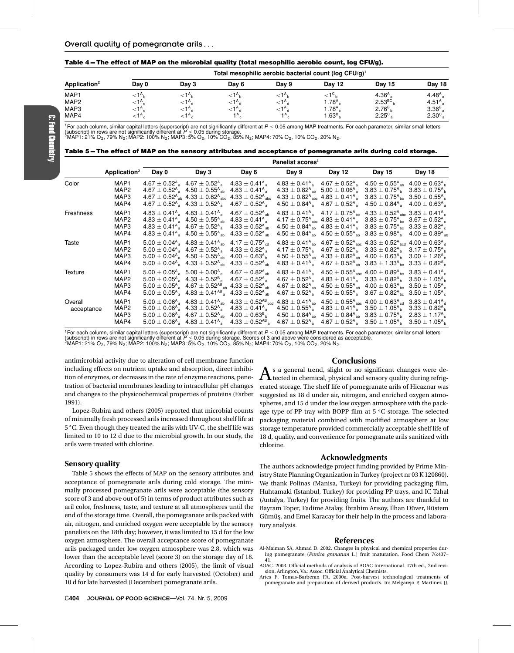#### **Table 4 – The effect of MAP on the microbial quality (total mesophilic aerobic count, log CFU/g).**

|                          | Total mesophilic aerobic bacterial count (log CFU/g) <sup>1</sup> |                    |       |                       |                   |                    |                   |  |  |  |  |
|--------------------------|-------------------------------------------------------------------|--------------------|-------|-----------------------|-------------------|--------------------|-------------------|--|--|--|--|
| Application <sup>2</sup> | Day 0                                                             | Day 3              | Dav 6 | Day 9                 | <b>Day 12</b>     | Day 15             | Day 18            |  |  |  |  |
| MAP1                     | $\leq 1^{\circ}$ <sub>h</sub>                                     | $<$ 1 $^{\circ}$   |       | $\leq 1^{\mathsf{A}}$ | ${<}1^{\circ}$    | 4.36 <sup>A</sup>  | 4.48 $A_{a}$      |  |  |  |  |
| MAP2                     | $<1^{\circ}$ <sub>d</sub>                                         | $\leq 1^{\circ}$   |       | ${<}1^{\mathsf{A}}$ d | 1.78 <sup>A</sup> | 2.53 <sup>BC</sup> | 4.51 <sup>A</sup> |  |  |  |  |
| MAP3                     | ${<}1^{\mathsf{A}}$ d                                             | $<$ 1 $^{\circ}$   |       | $\leq 1^{\circ}$      | 1.78 <sup>A</sup> | $2.76B_{h}$        | 3.36 <sup>B</sup> |  |  |  |  |
| MAP4                     | $\leq 1^{\mathsf{A}}$                                             | $<$ 1 <sup>A</sup> | ΙA    | 1 A                   | .63 <sup>B</sup>  | 2.25 <sup>c</sup>  | 2.30 <sub>9</sub> |  |  |  |  |

<sup>1</sup>For each column, similar capital letters (superscript) are not significantly different at P ≤ 0.05 among MAP treatments. For each parameter, similar small letters<br>(subscript) in rows are not significantly different at

Table 5-The effect of MAP on the sensory attributes and acceptance of pomegranate arils during cold storage.

|                       |                                                      |       |                                                                                                                                                                                                                                                                                                                                                            |                                                                                                                                                                                                                      | Panelist scores <sup>1</sup>                                                                                                                                                                                                                                                        |                                                                                                                                                                                                                                                                                                                                                                                                                                                                                                                                                                                                     |                                                                                                                                                                                                                                                                                                                      |        |
|-----------------------|------------------------------------------------------|-------|------------------------------------------------------------------------------------------------------------------------------------------------------------------------------------------------------------------------------------------------------------------------------------------------------------------------------------------------------------|----------------------------------------------------------------------------------------------------------------------------------------------------------------------------------------------------------------------|-------------------------------------------------------------------------------------------------------------------------------------------------------------------------------------------------------------------------------------------------------------------------------------|-----------------------------------------------------------------------------------------------------------------------------------------------------------------------------------------------------------------------------------------------------------------------------------------------------------------------------------------------------------------------------------------------------------------------------------------------------------------------------------------------------------------------------------------------------------------------------------------------------|----------------------------------------------------------------------------------------------------------------------------------------------------------------------------------------------------------------------------------------------------------------------------------------------------------------------|--------|
|                       | Application $2$                                      | Day 0 | Day 3                                                                                                                                                                                                                                                                                                                                                      | Day 6                                                                                                                                                                                                                | Day 9                                                                                                                                                                                                                                                                               | Day 12                                                                                                                                                                                                                                                                                                                                                                                                                                                                                                                                                                                              | Day 15                                                                                                                                                                                                                                                                                                               | Day 18 |
| Color                 | MAP <sub>1</sub><br>MAP <sub>2</sub><br>MAP3<br>MAP4 |       | $4.67 \pm 0.52$ <sup>A</sup> <sub>a</sub> $4.67 \pm 0.52$ <sup>A</sup> <sub>a</sub><br>$4.67 \pm 0.52^{\circ}$ $4.50 \pm 0.55^{\circ}$ <sub>ab</sub><br>$4.67 \pm 0.52^{\text{A}}_{\text{ab}}$ $4.33 \pm 0.82^{\text{A}}_{\text{abc}}$<br>$4.67 \pm 0.52$ <sup>A</sup> , $4.33 \pm 0.52$ <sup>A</sup> <sub>a</sub>                                         | $4.83 \pm 0.41$ <sup>A</sup> .<br>$4.83 \pm 0.41$ <sup>A</sup> <sub>a</sub><br>$4.33 \pm 0.52^{\rm A}$ <sub>abc</sub><br>$4.67 \pm 0.52$ <sup>A</sup>                                                                | $4.83 \pm 0.41^{\circ}$ $4.67 \pm 0.52^{\circ}$<br>$4.33 \pm 0.82$ <sup>A</sup> <sub>ab</sub> 5.00 $\pm$ 0.06 <sup>A</sup> <sub>a</sub><br>$4.33 \pm 0.82$ <sup>A</sup> <sub>abc</sub> $4.83 \pm 0.41$ <sup>A</sup> <sub>a</sub><br>$4.50 \pm 0.84^{\circ}$ $4.67 \pm 0.52^{\circ}$ |                                                                                                                                                                                                                                                                                                                                                                                                                                                                                                                                                                                                     | $4.50 \pm 0.55^{\text{A}}_{\text{ab}}$ 4.00 $\pm$ 0.63 <sup>A</sup> <sub>b</sub><br>$3.83 \pm 0.75^{\circ}$ $3.83 \pm 0.75^{\circ}$ b<br>$3.83 \pm 0.75$ <sup>A</sup> <sub>bc</sub> $3.50 \pm 0.55$ <sup>A</sup> <sub>c</sub><br>$4.50 \pm 0.84$ <sup>A</sup> <sub>a</sub> $4.00 \pm 0.63$ <sup>A</sup> <sub>a</sub> |        |
| Freshness             | MAP <sub>1</sub><br>MAP <sub>2</sub><br>MAP3<br>MAP4 |       | $4.83 \pm 0.41$ <sup>A</sup> <sub>a</sub> $4.83 \pm 0.41$ <sup>A</sup> <sub>a</sub><br>$4.83 \pm 0.41^{\circ}$ $4.50 \pm 0.55^{\circ}$ <sub>ab</sub><br>$4.83 \pm 0.41^{\circ}$ $4.67 \pm 0.52^{\circ}$<br>$4.83 \pm 0.41^{\circ}$ $4.50 \pm 0.55^{\circ}$ <sub>ab</sub>                                                                                   | $4.67 \pm 0.52$ <sup>A</sup> sh<br>$4.83 \pm 0.41$ <sup>A</sup> <sub>a</sub><br>$4.33 \pm 0.52^{\text{A}}$ <sub>ab</sub><br>$4.33 \pm 0.52^{\text{A}}$ <sub>ah</sub>                                                 |                                                                                                                                                                                                                                                                                     | $4.83 \pm 0.41^{\circ}$ $4.17 \pm 0.75^{\circ}$ hc<br>$4.17 \pm 0.75$ <sup>A</sup> <sub>abc</sub> $4.83 \pm 0.41$ <sup>A</sup> <sub>a</sub><br>$4.50 \pm 0.84^{\circ}$ <sub>ab</sub> $4.83 \pm 0.41^{\circ}$ <sub>a</sub> $3.83 \pm 0.75^{\circ}$ <sub>bc</sub> $3.33 \pm 0.82^{\circ}$ <sub>c</sub><br>$4.50 \pm 0.84^{\circ}$ <sub>ab</sub> $4.50 \pm 0.55^{\circ}$ <sub>ab</sub> $3.83 \pm 0.98^{\circ}$ <sub>b</sub> $4.00 \pm 0.89^{\circ}$ <sub>at</sub>                                                                                                                                      | $4.33 \pm 0.52$ <sup>A</sup> <sub>abc</sub> $3.83 \pm 0.41$ <sup>A</sup> <sub>c</sub><br>$3.83 \pm 0.75$ <sup>A</sup> <sub>bc</sub> $3.67 \pm 0.52$ <sup>A</sup> <sub>c</sub>                                                                                                                                        |        |
| Taste                 | MAP <sub>1</sub><br>MAP <sub>2</sub><br>MAP3<br>MAP4 |       | $5.00 \pm 0.04^{\circ}$ 4.83 $\pm$ 0.41 <sup>A</sup> <sub>ab</sub><br>$5.00 \pm 0.04^{\circ}$ 4.67 $\pm 0.52^{\circ}$<br>$5.00 \pm 0.04^{\circ}$ 4.50 $\pm$ 0.55 <sup>A</sup> ab<br>$5.00 \pm 0.04^{\circ}$ 4.33 $\pm$ 0.52 <sup>A</sup> <sub>ah</sub>                                                                                                     | $4.17 \pm 0.75$ <sup>A</sup> <sub>cd</sub><br>$4.33 \pm 0.82$ <sup>A</sup><br>$4.00 \pm 0.63^{A}$ <sub>h</sub><br>$4.33 \pm 0.52$ <sup>A</sup> <sub>ah</sub>                                                         |                                                                                                                                                                                                                                                                                     | $4.83 \pm 0.41^{\text{A}}_{\text{ab}}$ $4.67 \pm 0.52^{\text{A}}_{\text{abc}}$ $4.33 \pm 0.52^{\text{A}}_{\text{bcd}}$ $4.00 \pm 0.63^{\text{A}}_{\text{d}}$<br>$4.17 \pm 0.75$ <sup>A</sup> <sub>a</sub> $4.67 \pm 0.52$ <sup>A</sup> <sub>a</sub> $3.33 \pm 0.82$ <sup>A</sup> <sub>b</sub> $3.17 \pm 0.75$ <sup>A</sup> <sub>b</sub><br>$4.50 \pm 0.55^{\circ}$ <sub>ab</sub> $4.33 \pm 0.82^{\circ}$ <sub>ab</sub> $4.00 \pm 0.63^{\circ}$ <sub>b</sub> $3.00 \pm 1.26^{\circ}$ <sub>c</sub><br>$4.83 \pm 0.41^{\circ}$ $4.67 \pm 0.52^{\circ}$ $4.83 \pm 1.33^{\circ}$ $6.83 \pm 0.82^{\circ}$ |                                                                                                                                                                                                                                                                                                                      |        |
| Texture               | MAP <sub>1</sub><br>MAP2<br>MAP3<br>MAP4             |       | $5.00 \pm 0.05^{\circ}$ 5.00 $\pm$ 0.00 <sup>A</sup> <sub>a</sub><br>$5.00 \pm 0.05^{\circ}$ 4.33 $\pm 0.52^{\circ}$<br>$5.00 \pm 0.05^{\circ}$ 4.67 $\pm$ 0.52 <sup>AB</sup> <sub>ab</sub> 4.33 $\pm$ 0.52 <sup>A</sup> <sub>ab</sub><br>$5.00 \pm 0.05^{\circ}$ 4.83 $\pm$ 0.41 <sup>AB</sup> 4.33 $\pm$ 0.52 <sup>A</sup> <sub>ah</sub>                 | $4.67 \pm 0.82^{\text{A}}$ <sub>ah</sub><br>$4.67 \pm 0.52$ <sup>A</sup>                                                                                                                                             | $4.67 \pm 0.52$ <sup>A</sup>                                                                                                                                                                                                                                                        | $4.83 \pm 0.41^{\circ}$ $4.50 \pm 0.55^{\circ}$ abc $4.00 \pm 0.89^{\circ}$ bc $3.83 \pm 0.41^{\circ}$ c<br>$4.67 \pm 0.52^{\circ}$ 4.83 $\pm$ 0.41 <sup>A</sup> <sub>3</sub> 3.33 $\pm$ 0.82 <sup>A</sup> <sub>b</sub> 3.50 $\pm$ 1.05 <sup>A</sup> <sub>b</sub><br>$4.67 \pm 0.82$ <sup>A</sup> <sub>ab</sub> $4.50 \pm 0.55$ <sup>A</sup> <sub>ab</sub> $4.00 \pm 0.63$ <sup>A</sup> <sub>bc</sub> $3.50 \pm 1.05$ <sup>A</sup> <sub>c</sub>                                                                                                                                                     | $4.50 \pm 0.55$ <sup>A</sup> <sub>a</sub> $3.67 \pm 0.82$ <sup>A</sup> <sub>bc</sub> $3.50 \pm 1.05$ <sup>A</sup> <sub>c</sub>                                                                                                                                                                                       |        |
| Overall<br>acceptance | MAP <sub>1</sub><br>MAP2<br>MAP3<br>MAP4             |       | $5.00 \pm 0.06$ <sup>A</sup> <sub>a</sub> 4.83 $\pm$ 0.41 <sup>A</sup> <sub>ab</sub><br>$5.00 \pm 0.06$ <sup>A</sup> <sub>a</sub> $4.33 \pm 0.52$ <sup>A</sup> <sub>a</sub><br>$5.00 \pm 0.06$ <sup>A</sup> <sub>a</sub> 4.67 $\pm$ 0.52 <sup>A</sup> <sub>ab</sub><br>$5.00 \pm 0.06$ <sup>A</sup> <sub>a</sub> 4.83 $\pm$ 0.41 <sup>A</sup> <sub>a</sub> | $4.33 \pm 0.52^{AB}$ bod $4.83 \pm 0.41^{A}$ ab $4.50 \pm 0.55^{A}$ abc $4.00 \pm 0.63^{A}$ cd $3.83 \pm 0.41^{A}$ d<br>$4.83 \pm 0.41^{\circ}$ .<br>$4.00\pm0.63^{\text{\tiny B}}$ h<br>$4.33\pm0.52^{\text{AB}}$ , |                                                                                                                                                                                                                                                                                     | $4.50 \pm 0.55^{\circ}$ 4.83 $\pm$ 0.41 <sup>A</sup> <sub>3</sub> 3.50 $\pm$ 1.05 <sup>A</sup> <sub>b</sub> 3.33 $\pm$ 0.82 <sup>A</sup> <sub>b</sub><br>$4.50 \pm 0.84^{\circ}$ ab $4.50 \pm 0.84^{\circ}$ ab $3.83 \pm 0.75^{\circ}$ $2.83 \pm 1.17^{\circ}$<br>$4.67 \pm 0.52^{\circ}$ 4.67 $\pm$ 0.52 <sup>A</sup> <sub>3</sub> 3.50 $\pm$ 1.05 <sup>A</sup> <sub>b</sub> 3.50 $\pm$ 1.05 <sup>A</sup> <sub>b</sub>                                                                                                                                                                             |                                                                                                                                                                                                                                                                                                                      |        |

<sup>1</sup>For each column, similar capital letters (superscript) are not significantly different at P ≤ 0.05 among MAP treatments. For each parameter, similar small letters<br>(subscript) in rows are not significantly different at

antimicrobial activity due to alteration of cell membrane function including effects on nutrient uptake and absorption, direct inhibition of enzymes, or decreases in the rate of enzyme reactions, penetration of bacterial membranes leading to intracellular pH changes and changes to the physicochemical properties of proteins (Farber 1991).

Lopez-Rubira and others (2005) reported that microbial counts of minimally fresh processed arils increased throughout shelf life at 5 **◦**C. Even though they treated the arils with UV-C, the shelf life was limited to 10 to 12 d due to the microbial growth. In our study, the arils were treated with chlorine.

#### **Sensory quality**

Table 5 shows the effects of MAP on the sensory attributes and acceptance of pomegranate arils during cold storage. The minimally processed pomegranate arils were acceptable (the sensory score of 3 and above out of 5) in terms of product attributes such as aril color, freshness, taste, and texture at all atmospheres until the end of the storage time. Overall, the pomegranate arils packed with air, nitrogen, and enriched oxygen were acceptable by the sensory panelists on the 18th day; however, it was limited to 15 d for the low oxygen atmosphere. The overall acceptance score of pomegranate arils packaged under low oxygen atmosphere was 2.8, which was lower than the acceptable level (score 3) on the storage day of 18. According to Lopez-Rubira and others (2005), the limit of visual quality by consumers was 14 d for early harvested (October) and 10 d for late harvested (December) pomegranate arils.

#### **Conclusions**

 $\bigwedge$  s a general trend, slight or no significant changes were de-<br>tected in chemical, physical and sensory quality during refrigerated storage. The shelf life of pomegranate arils of Hicaznar was suggested as 18 d under air, nitrogen, and enriched oxygen atmospheres, and 15 d under the low oxygen atmosphere with the package type of PP tray with BOPP film at 5 **◦**C storage. The selected packaging material combined with modified atmosphere at low storage temperature provided commercially acceptable shelf life of 18 d, quality, and convenience for pomegranate arils sanitized with chlorine.

#### **Acknowledgments**

The authors acknowledge project funding provided by Prime Ministry State Planning Organization in Turkey (project nr 03 K 120860). We thank Polinas (Manisa, Turkey) for providing packaging film, Huhtamaki (Istanbul, Turkey) for providing PP trays, and IC Tahal (Antalya, Turkey) for providing fruits. The authors are thankful to Bayram Toper, Fadime Atalay, İbrahim Arısoy, İlhan Düver, Rüstem Gümüş, and Emel Karacay for their help in the process and laboratory analysis.

#### **References**

- Al-Maiman SA, Ahmad D. 2002. Changes in physical and chemical properties during pomegranate (*Punica granatum* L.) fruit maturation. Food Chem 76:437– 41.
- AOAC. 2003. Official methods of analysis of AOAC International. 17th ed., 2nd revision, Arlington, Va.: Assoc. Official Analytical Chemists.
- Artes F, Tomas-Barberan FA. 2000a. Post-harvest technological treatments of pomegranate and preparation of derived products. In: Melgarejo P, Martinez JJ,

C: